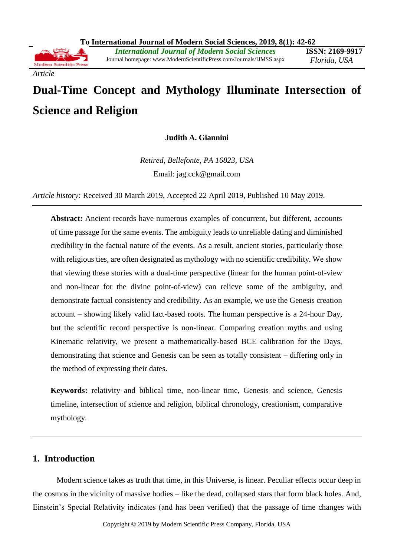

**Judith A. Giannini**

*Retired, Bellefonte, PA 16823, USA* Email: jag.cck@gmail.com

*Article history:* Received 30 March 2019, Accepted 22 April 2019, Published 10 May 2019.

**Abstract:** Ancient records have numerous examples of concurrent, but different, accounts of time passage for the same events. The ambiguity leads to unreliable dating and diminished credibility in the factual nature of the events. As a result, ancient stories, particularly those with religious ties, are often designated as mythology with no scientific credibility. We show that viewing these stories with a dual-time perspective (linear for the human point-of-view and non-linear for the divine point-of-view) can relieve some of the ambiguity, and demonstrate factual consistency and credibility. As an example, we use the Genesis creation account – showing likely valid fact-based roots. The human perspective is a 24-hour Day, but the scientific record perspective is non-linear. Comparing creation myths and using Kinematic relativity, we present a mathematically-based BCE calibration for the Days, demonstrating that science and Genesis can be seen as totally consistent – differing only in the method of expressing their dates.

**Keywords:** relativity and biblical time, non-linear time, Genesis and science, Genesis timeline, intersection of science and religion, biblical chronology, creationism, comparative mythology.

# **1. Introduction**

*Article*

Modern science takes as truth that time, in this Universe, is linear. Peculiar effects occur deep in the cosmos in the vicinity of massive bodies – like the dead, collapsed stars that form black holes. And, Einstein's Special Relativity indicates (and has been verified) that the passage of time changes with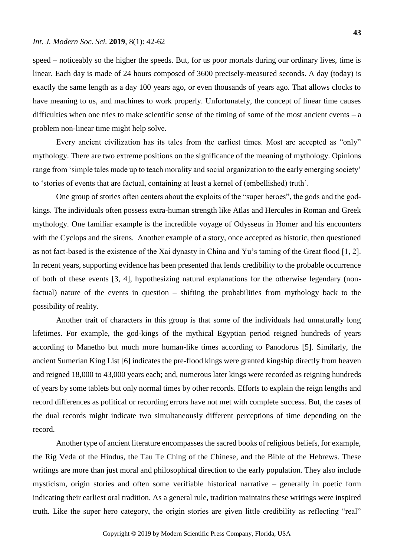speed – noticeably so the higher the speeds. But, for us poor mortals during our ordinary lives, time is linear. Each day is made of 24 hours composed of 3600 precisely-measured seconds. A day (today) is exactly the same length as a day 100 years ago, or even thousands of years ago. That allows clocks to have meaning to us, and machines to work properly. Unfortunately, the concept of linear time causes difficulties when one tries to make scientific sense of the timing of some of the most ancient events  $-$  a problem non-linear time might help solve.

Every ancient civilization has its tales from the earliest times. Most are accepted as "only" mythology. There are two extreme positions on the significance of the meaning of mythology. Opinions range from 'simple tales made up to teach morality and social organization to the early emerging society' to 'stories of events that are factual, containing at least a kernel of (embellished) truth'.

One group of stories often centers about the exploits of the "super heroes", the gods and the godkings. The individuals often possess extra-human strength like Atlas and Hercules in Roman and Greek mythology. One familiar example is the incredible voyage of Odysseus in Homer and his encounters with the Cyclops and the sirens. Another example of a story, once accepted as historic, then questioned as not fact-based is the existence of the Xai dynasty in China and Yu's taming of the Great flood [1, 2]. In recent years, supporting evidence has been presented that lends credibility to the probable occurrence of both of these events [3, 4], hypothesizing natural explanations for the otherwise legendary (nonfactual) nature of the events in question – shifting the probabilities from mythology back to the possibility of reality.

Another trait of characters in this group is that some of the individuals had unnaturally long lifetimes. For example, the god-kings of the mythical Egyptian period reigned hundreds of years according to Manetho but much more human-like times according to Panodorus [5]. Similarly, the ancient Sumerian King List [6] indicates the pre-flood kings were granted kingship directly from heaven and reigned 18,000 to 43,000 years each; and, numerous later kings were recorded as reigning hundreds of years by some tablets but only normal times by other records. Efforts to explain the reign lengths and record differences as political or recording errors have not met with complete success. But, the cases of the dual records might indicate two simultaneously different perceptions of time depending on the record.

Another type of ancient literature encompasses the sacred books of religious beliefs, for example, the Rig Veda of the Hindus, the Tau Te Ching of the Chinese*,* and the Bible of the Hebrews. These writings are more than just moral and philosophical direction to the early population. They also include mysticism, origin stories and often some verifiable historical narrative – generally in poetic form indicating their earliest oral tradition. As a general rule, tradition maintains these writings were inspired truth. Like the super hero category, the origin stories are given little credibility as reflecting "real"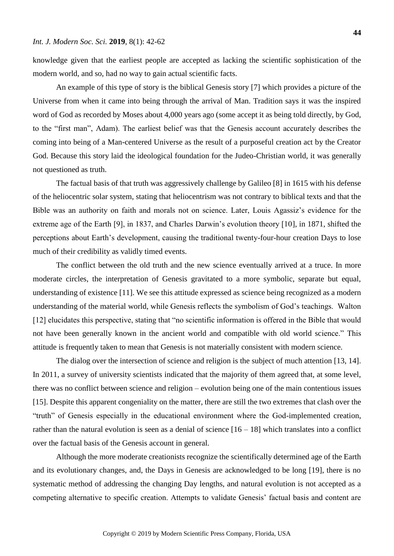knowledge given that the earliest people are accepted as lacking the scientific sophistication of the modern world, and so, had no way to gain actual scientific facts.

An example of this type of story is the biblical Genesis story [7] which provides a picture of the Universe from when it came into being through the arrival of Man. Tradition says it was the inspired word of God as recorded by Moses about 4,000 years ago (some accept it as being told directly, by God, to the "first man", Adam). The earliest belief was that the Genesis account accurately describes the coming into being of a Man-centered Universe as the result of a purposeful creation act by the Creator God. Because this story laid the ideological foundation for the Judeo-Christian world, it was generally not questioned as truth.

The factual basis of that truth was aggressively challenge by Galileo [8] in 1615 with his defense of the heliocentric solar system, stating that heliocentrism was not contrary to biblical texts and that the Bible was an authority on faith and morals not on science. Later, Louis Agassiz's evidence for the extreme age of the Earth [9], in 1837, and Charles Darwin's evolution theory [10], in 1871, shifted the perceptions about Earth's development, causing the traditional twenty-four-hour creation Days to lose much of their credibility as validly timed events.

The conflict between the old truth and the new science eventually arrived at a truce. In more moderate circles, the interpretation of Genesis gravitated to a more symbolic, separate but equal, understanding of existence [11]. We see this attitude expressed as science being recognized as a modern understanding of the material world, while Genesis reflects the symbolism of God's teachings. Walton [12] elucidates this perspective, stating that "no scientific information is offered in the Bible that would not have been generally known in the ancient world and compatible with old world science." This attitude is frequently taken to mean that Genesis is not materially consistent with modern science.

The dialog over the intersection of science and religion is the subject of much attention [13, 14]. In 2011, a survey of university scientists indicated that the majority of them agreed that, at some level, there was no conflict between science and religion – evolution being one of the main contentious issues [15]. Despite this apparent congeniality on the matter, there are still the two extremes that clash over the "truth" of Genesis especially in the educational environment where the God-implemented creation, rather than the natural evolution is seen as a denial of science  $[16 - 18]$  which translates into a conflict over the factual basis of the Genesis account in general.

Although the more moderate creationists recognize the scientifically determined age of the Earth and its evolutionary changes, and, the Days in Genesis are acknowledged to be long [19], there is no systematic method of addressing the changing Day lengths, and natural evolution is not accepted as a competing alternative to specific creation. Attempts to validate Genesis' factual basis and content are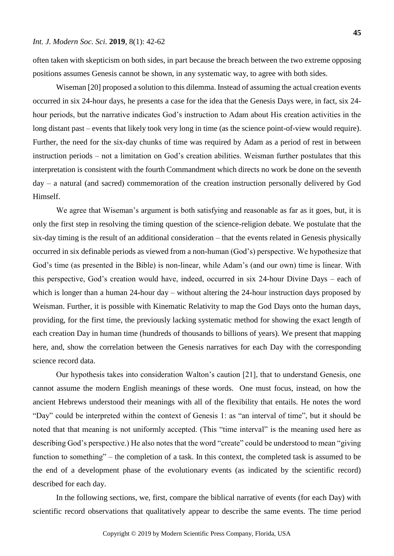often taken with skepticism on both sides, in part because the breach between the two extreme opposing positions assumes Genesis cannot be shown, in any systematic way, to agree with both sides.

Wiseman [20] proposed a solution to this dilemma. Instead of assuming the actual creation events occurred in six 24-hour days, he presents a case for the idea that the Genesis Days were, in fact, six 24 hour periods, but the narrative indicates God's instruction to Adam about His creation activities in the long distant past – events that likely took very long in time (as the science point-of-view would require). Further, the need for the six-day chunks of time was required by Adam as a period of rest in between instruction periods – not a limitation on God's creation abilities. Weisman further postulates that this interpretation is consistent with the fourth Commandment which directs no work be done on the seventh day – a natural (and sacred) commemoration of the creation instruction personally delivered by God Himself.

We agree that Wiseman's argument is both satisfying and reasonable as far as it goes, but, it is only the first step in resolving the timing question of the science-religion debate. We postulate that the six-day timing is the result of an additional consideration – that the events related in Genesis physically occurred in six definable periods as viewed from a non-human (God's) perspective. We hypothesize that God's time (as presented in the Bible) is non-linear, while Adam's (and our own) time is linear. With this perspective, God's creation would have, indeed, occurred in six 24-hour Divine Days – each of which is longer than a human 24-hour day – without altering the 24-hour instruction days proposed by Weisman. Further, it is possible with Kinematic Relativity to map the God Days onto the human days, providing, for the first time, the previously lacking systematic method for showing the exact length of each creation Day in human time (hundreds of thousands to billions of years). We present that mapping here, and, show the correlation between the Genesis narratives for each Day with the corresponding science record data.

Our hypothesis takes into consideration Walton's caution [21], that to understand Genesis, one cannot assume the modern English meanings of these words. One must focus, instead, on how the ancient Hebrews understood their meanings with all of the flexibility that entails. He notes the word "Day" could be interpreted within the context of Genesis 1: as "an interval of time", but it should be noted that that meaning is not uniformly accepted. (This "time interval" is the meaning used here as describing God's perspective.) He also notes that the word "create" could be understood to mean "giving function to something" – the completion of a task. In this context, the completed task is assumed to be the end of a development phase of the evolutionary events (as indicated by the scientific record) described for each day.

In the following sections, we, first, compare the biblical narrative of events (for each Day) with scientific record observations that qualitatively appear to describe the same events. The time period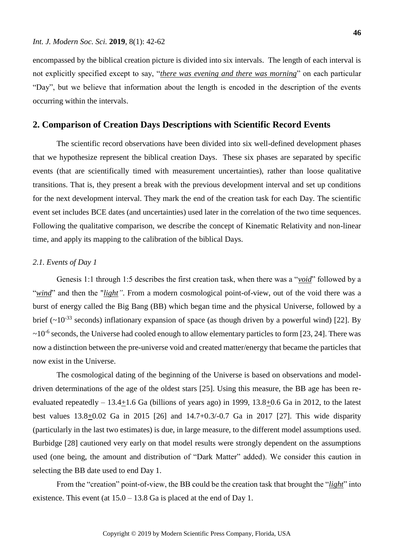encompassed by the biblical creation picture is divided into six intervals. The length of each interval is not explicitly specified except to say, "*there was evening and there was morning*" on each particular "Day", but we believe that information about the length is encoded in the description of the events occurring within the intervals.

### **2. Comparison of Creation Days Descriptions with Scientific Record Events**

The scientific record observations have been divided into six well-defined development phases that we hypothesize represent the biblical creation Days. These six phases are separated by specific events (that are scientifically timed with measurement uncertainties), rather than loose qualitative transitions. That is, they present a break with the previous development interval and set up conditions for the next development interval. They mark the end of the creation task for each Day. The scientific event set includes BCE dates (and uncertainties) used later in the correlation of the two time sequences. Following the qualitative comparison, we describe the concept of Kinematic Relativity and non-linear time, and apply its mapping to the calibration of the biblical Days.

### *2.1. Events of Day 1*

Genesis 1:1 through 1:5 describes the first creation task, when there was a "*void*" followed by a "*wind*" and then the "*light"*. From a modern cosmological point-of-view, out of the void there was a burst of energy called the Big Bang (BB) which began time and the physical Universe, followed by a brief ( $\sim 10^{-33}$  seconds) inflationary expansion of space (as though driven by a powerful wind) [22]. By  $\sim$ 10<sup>-6</sup> seconds, the Universe had cooled enough to allow elementary particles to form [23, 24]. There was now a distinction between the pre-universe void and created matter/energy that became the particles that now exist in the Universe.

The cosmological dating of the beginning of the Universe is based on observations and modeldriven determinations of the age of the oldest stars [25]. Using this measure, the BB age has been reevaluated repeatedly – 13.4+1.6 Ga (billions of years ago) in 1999, 13.8+0.6 Ga in 2012, to the latest best values 13.8+0.02 Ga in 2015 [26] and 14.7+0.3/-0.7 Ga in 2017 [27]. This wide disparity (particularly in the last two estimates) is due, in large measure, to the different model assumptions used. Burbidge [28] cautioned very early on that model results were strongly dependent on the assumptions used (one being, the amount and distribution of "Dark Matter" added). We consider this caution in selecting the BB date used to end Day 1.

From the "creation" point-of-view, the BB could be the creation task that brought the "*light*" into existence. This event (at  $15.0 - 13.8$  Ga is placed at the end of Day 1.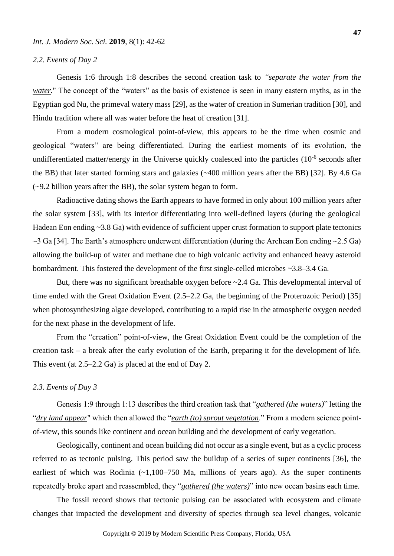#### *2.2. Events of Day 2*

Genesis 1:6 through 1:8 describes the second creation task to *"separate the water from the water.*" The concept of the "waters" as the basis of existence is seen in many eastern myths, as in the Egyptian god Nu, the primeval watery mass [29], as the water of creation in Sumerian tradition [30], and Hindu tradition where all was water before the heat of creation [31].

From a modern cosmological point-of-view, this appears to be the time when cosmic and geological "waters" are being differentiated. During the earliest moments of its evolution, the undifferentiated matter/energy in the Universe quickly coalesced into the particles  $(10^{-6}$  seconds after the BB) that later started forming stars and galaxies (~400 million years after the BB) [32]. By 4.6 Ga (~9.2 billion years after the BB), the solar system began to form.

Radioactive dating shows the Earth appears to have formed in only about 100 million years after the solar system [33], with its interior differentiating into well-defined layers (during the geological Hadean Eon ending ~3.8 Ga) with evidence of sufficient upper crust formation to support plate tectonics  $\sim$ 3 Ga [34]. The Earth's atmosphere underwent differentiation (during the Archean Eon ending  $\sim$ 2.5 Ga) allowing the build-up of water and methane due to high volcanic activity and enhanced heavy asteroid bombardment. This fostered the development of the first single-celled microbes ~3.8–3.4 Ga.

But, there was no significant breathable oxygen before ~2.4 Ga. This developmental interval of time ended with the Great Oxidation Event (2.5–2.2 Ga, the beginning of the Proterozoic Period) [35] when photosynthesizing algae developed, contributing to a rapid rise in the atmospheric oxygen needed for the next phase in the development of life.

From the "creation" point-of-view, the Great Oxidation Event could be the completion of the creation task – a break after the early evolution of the Earth, preparing it for the development of life. This event (at 2.5–2.2 Ga) is placed at the end of Day 2.

#### *2.3. Events of Day 3*

Genesis 1:9 through 1:13 describes the third creation task that "*gathered (the waters)*" letting the "*dry land appear*" which then allowed the "*earth (to) sprout vegetation*." From a modern science pointof-view, this sounds like continent and ocean building and the development of early vegetation.

Geologically, continent and ocean building did not occur as a single event, but as a cyclic process referred to as tectonic pulsing. This period saw the buildup of a series of super continents [36], the earliest of which was Rodinia  $(-1,100-750)$  Ma, millions of years ago). As the super continents repeatedly broke apart and reassembled, they "*gathered (the waters)*" into new ocean basins each time.

The fossil record shows that tectonic pulsing can be associated with ecosystem and climate changes that impacted the development and diversity of species through sea level changes, volcanic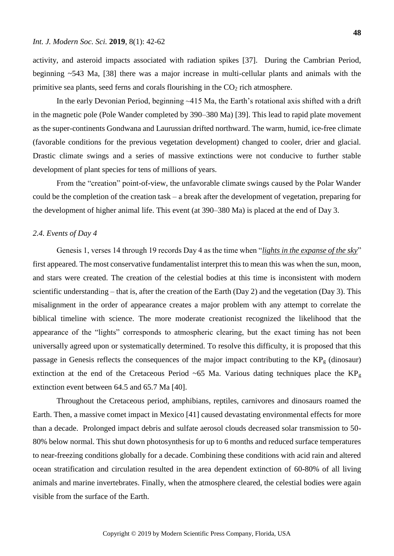activity, and asteroid impacts associated with radiation spikes [37]. During the Cambrian Period, beginning ~543 Ma, [38] there was a major increase in multi-cellular plants and animals with the primitive sea plants, seed ferns and corals flourishing in the  $CO<sub>2</sub>$  rich atmosphere.

In the early Devonian Period, beginning ~415 Ma, the Earth's rotational axis shifted with a drift in the magnetic pole (Pole Wander completed by 390–380 Ma) [39]. This lead to rapid plate movement as the super-continents Gondwana and Laurussian drifted northward. The warm, humid, ice-free climate (favorable conditions for the previous vegetation development) changed to cooler, drier and glacial. Drastic climate swings and a series of massive extinctions were not conducive to further stable development of plant species for tens of millions of years.

From the "creation" point-of-view, the unfavorable climate swings caused by the Polar Wander could be the completion of the creation task – a break after the development of vegetation, preparing for the development of higher animal life. This event (at 390–380 Ma) is placed at the end of Day 3.

### *2.4. Events of Day 4*

Genesis 1, verses 14 through 19 records Day 4 as the time when "*lights in the expanse of the sky*" first appeared. The most conservative fundamentalist interpret this to mean this was when the sun, moon, and stars were created. The creation of the celestial bodies at this time is inconsistent with modern scientific understanding – that is, after the creation of the Earth (Day 2) and the vegetation (Day 3). This misalignment in the order of appearance creates a major problem with any attempt to correlate the biblical timeline with science. The more moderate creationist recognized the likelihood that the appearance of the "lights" corresponds to atmospheric clearing, but the exact timing has not been universally agreed upon or systematically determined. To resolve this difficulty, it is proposed that this passage in Genesis reflects the consequences of the major impact contributing to the  $KP<sub>g</sub>$  (dinosaur) extinction at the end of the Cretaceous Period ~65 Ma. Various dating techniques place the  $KP<sub>g</sub>$ extinction event between 64.5 and 65.7 Ma [40].

Throughout the Cretaceous period, amphibians, reptiles, carnivores and dinosaurs roamed the Earth. Then, a massive comet impact in Mexico [41] caused devastating environmental effects for more than a decade. Prolonged impact debris and sulfate aerosol clouds decreased solar transmission to 50- 80% below normal. This shut down photosynthesis for up to 6 months and reduced surface temperatures to near-freezing conditions globally for a decade. Combining these conditions with acid rain and altered ocean stratification and circulation resulted in the area dependent extinction of 60-80% of all living animals and marine invertebrates. Finally, when the atmosphere cleared, the celestial bodies were again visible from the surface of the Earth.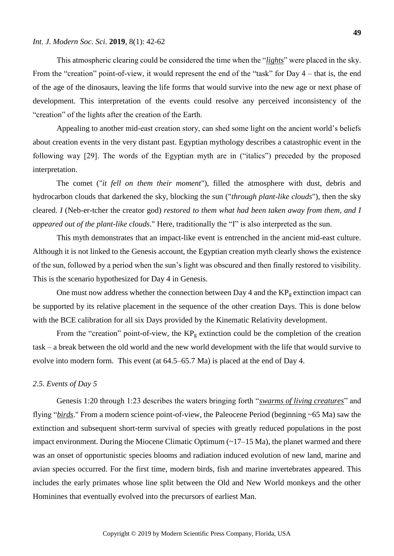#### *Int. J. Modern Soc. Sci.* **2019**, 8(1): 42-62

This atmospheric clearing could be considered the time when the "*lights*" were placed in the sky. From the "creation" point-of-view, it would represent the end of the "task" for Day 4 – that is, the end of the age of the dinosaurs, leaving the life forms that would survive into the new age or next phase of development. This interpretation of the events could resolve any perceived inconsistency of the "creation" of the lights after the creation of the Earth.

Appealing to another mid-east creation story, can shed some light on the ancient world's beliefs about creation events in the very distant past. Egyptian mythology describes a catastrophic event in the following way [29]. The words of the Egyptian myth are in ("italics") preceded by the proposed interpretation.

The comet ("*it fell on them their moment*"), filled the atmosphere with dust, debris and hydrocarbon clouds that darkened the sky, blocking the sun ("*through plant-like clouds*"), then the sky cleared. *I* (Neb-er-tcher the creator god) *restored to them what had been taken away from them, and I appeared out of the plant-like clouds*." Here, traditionally the "I" is also interpreted as the sun.

This myth demonstrates that an impact-like event is entrenched in the ancient mid-east culture. Although it is not linked to the Genesis account, the Egyptian creation myth clearly shows the existence of the sun, followed by a period when the sun's light was obscured and then finally restored to visibility. This is the scenario hypothesized for Day 4 in Genesis.

One must now address whether the connection between Day 4 and the  $KP<sub>g</sub>$  extinction impact can be supported by its relative placement in the sequence of the other creation Days. This is done below with the BCE calibration for all six Days provided by the Kinematic Relativity development.

From the "creation" point-of-view, the  $KP<sub>g</sub>$  extinction could be the completion of the creation task – a break between the old world and the new world development with the life that would survive to evolve into modern form. This event (at 64.5–65.7 Ma) is placed at the end of Day 4.

#### *2.5. Events of Day 5*

Genesis 1:20 through 1:23 describes the waters bringing forth "*swarms of living creatures*" and flying "*birds*." From a modern science point-of-view, the Paleocene Period (beginning ~65 Ma) saw the extinction and subsequent short-term survival of species with greatly reduced populations in the post impact environment. During the Miocene Climatic Optimum  $(\sim 17-15$  Ma), the planet warmed and there was an onset of opportunistic species blooms and radiation induced evolution of new land, marine and avian species occurred. For the first time, modern birds, fish and marine invertebrates appeared. This includes the early primates whose line split between the Old and New World monkeys and the other Hominines that eventually evolved into the precursors of earliest Man.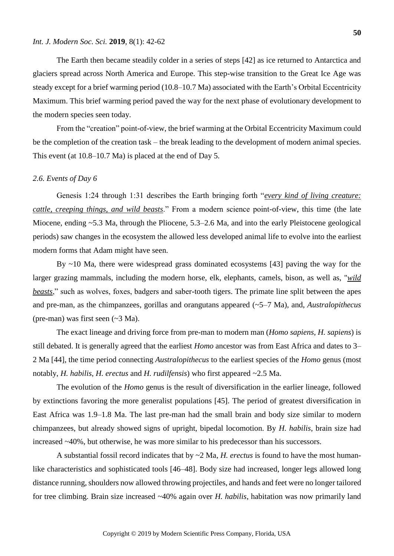#### *Int. J. Modern Soc. Sci.* **2019**, 8(1): 42-62

The Earth then became steadily colder in a series of steps [42] as ice returned to Antarctica and glaciers spread across North America and Europe. This step-wise transition to the Great Ice Age was steady except for a brief warming period (10.8–10.7 Ma) associated with the Earth's Orbital Eccentricity Maximum. This brief warming period paved the way for the next phase of evolutionary development to the modern species seen today.

From the "creation" point-of-view, the brief warming at the Orbital Eccentricity Maximum could be the completion of the creation task – the break leading to the development of modern animal species. This event (at 10.8–10.7 Ma) is placed at the end of Day 5.

#### *2.6. Events of Day 6*

Genesis 1:24 through 1:31 describes the Earth bringing forth "*every kind of living creature: cattle, creeping things, and wild beasts*." From a modern science point-of-view, this time (the late Miocene, ending ~5.3 Ma, through the Pliocene, 5.3–2.6 Ma, and into the early Pleistocene geological periods) saw changes in the ecosystem the allowed less developed animal life to evolve into the earliest modern forms that Adam might have seen.

By ~10 Ma, there were widespread grass dominated ecosystems [43] paving the way for the larger grazing mammals, including the modern horse, elk, elephants, camels, bison, as well as, "*wild beasts*," such as wolves, foxes, badgers and saber-tooth tigers. The primate line split between the apes and pre-man, as the chimpanzees, gorillas and orangutans appeared (~5–7 Ma), and, *Australopithecus* (pre-man) was first seen (~3 Ma).

The exact lineage and driving force from pre-man to modern man (*Homo sapiens, H. sapiens*) is still debated. It is generally agreed that the earliest *Homo* ancestor was from East Africa and dates to 3– 2 Ma [44], the time period connecting *Australopithecus* to the earliest species of the *Homo* genus (most notably, *H. habilis*, *H. erectus* and *H. rudilfensis*) who first appeared ~2.5 Ma.

The evolution of the *Homo* genus is the result of diversification in the earlier lineage, followed by extinctions favoring the more generalist populations [45]. The period of greatest diversification in East Africa was 1.9–1.8 Ma. The last pre-man had the small brain and body size similar to modern chimpanzees, but already showed signs of upright, bipedal locomotion. By *H. habilis*, brain size had increased ~40%, but otherwise, he was more similar to his predecessor than his successors.

A substantial fossil record indicates that by ~2 Ma, *H. erectus* is found to have the most humanlike characteristics and sophisticated tools [46–48]. Body size had increased, longer legs allowed long distance running, shoulders now allowed throwing projectiles, and hands and feet were no longer tailored for tree climbing. Brain size increased ~40% again over *H. habilis*, habitation was now primarily land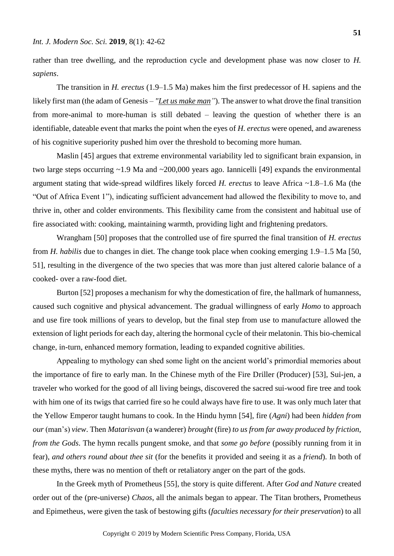rather than tree dwelling, and the reproduction cycle and development phase was now closer to *H. sapiens*.

The transition in *H. erectus* (1.9–1.5 Ma) makes him the first predecessor of H. sapiens and the likely first man (the adam of Genesis – *"Let us make man"*). The answer to what drove the final transition from more-animal to more-human is still debated – leaving the question of whether there is an identifiable, dateable event that marks the point when the eyes of *H. erectus* were opened, and awareness of his cognitive superiority pushed him over the threshold to becoming more human.

Maslin [45] argues that extreme environmental variability led to significant brain expansion, in two large steps occurring ~1.9 Ma and ~200,000 years ago. Iannicelli [49] expands the environmental argument stating that wide-spread wildfires likely forced *H. erectus* to leave Africa ~1.8–1.6 Ma (the "Out of Africa Event 1"), indicating sufficient advancement had allowed the flexibility to move to, and thrive in, other and colder environments. This flexibility came from the consistent and habitual use of fire associated with: cooking, maintaining warmth, providing light and frightening predators.

Wrangham [50] proposes that the controlled use of fire spurred the final transition of *H. erectus* from *H. habilis* due to changes in diet. The change took place when cooking emerging 1.9–1.5 Ma [50, 51], resulting in the divergence of the two species that was more than just altered calorie balance of a cooked- over a raw-food diet.

Burton [52] proposes a mechanism for why the domestication of fire, the hallmark of humanness, caused such cognitive and physical advancement. The gradual willingness of early *Homo* to approach and use fire took millions of years to develop, but the final step from use to manufacture allowed the extension of light periods for each day, altering the hormonal cycle of their melatonin. This bio-chemical change, in-turn, enhanced memory formation, leading to expanded cognitive abilities.

Appealing to mythology can shed some light on the ancient world's primordial memories about the importance of fire to early man. In the Chinese myth of the Fire Driller (Producer) [53], Sui-jen, a traveler who worked for the good of all living beings, discovered the sacred sui-wood fire tree and took with him one of its twigs that carried fire so he could always have fire to use. It was only much later that the Yellow Emperor taught humans to cook. In the Hindu hymn [54], fire (*Agni*) had been *hidden from our* (man's) *view*. Then *Matarisvan* (a wanderer) *brought* (fire) *to us from far away produced by friction, from the Gods*. The hymn recalls pungent smoke, and that *some go before* (possibly running from it in fear), *and others round about thee sit* (for the benefits it provided and seeing it as a *friend*). In both of these myths, there was no mention of theft or retaliatory anger on the part of the gods.

In the Greek myth of Prometheus [55], the story is quite different. After *God and Nature* created order out of the (pre-universe) *Chaos*, all the animals began to appear. The Titan brothers, Prometheus and Epimetheus, were given the task of bestowing gifts (*faculties necessary for their preservation*) to all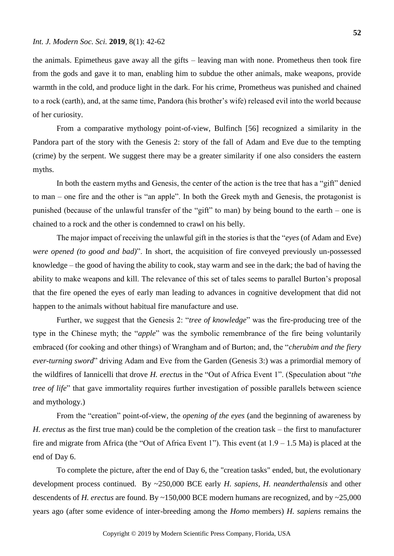the animals. Epimetheus gave away all the gifts – leaving man with none. Prometheus then took fire from the gods and gave it to man, enabling him to subdue the other animals, make weapons, provide warmth in the cold, and produce light in the dark. For his crime, Prometheus was punished and chained to a rock (earth), and, at the same time, Pandora (his brother's wife) released evil into the world because of her curiosity.

From a comparative mythology point-of-view, Bulfinch [56] recognized a similarity in the Pandora part of the story with the Genesis 2: story of the fall of Adam and Eve due to the tempting (crime) by the serpent. We suggest there may be a greater similarity if one also considers the eastern myths.

In both the eastern myths and Genesis, the center of the action is the tree that has a "gift" denied to man – one fire and the other is "an apple". In both the Greek myth and Genesis, the protagonist is punished (because of the unlawful transfer of the "gift" to man) by being bound to the earth – one is chained to a rock and the other is condemned to crawl on his belly.

The major impact of receiving the unlawful gift in the stories is that the "*eyes* (of Adam and Eve) *were opened (to good and bad)*". In short, the acquisition of fire conveyed previously un-possessed knowledge – the good of having the ability to cook, stay warm and see in the dark; the bad of having the ability to make weapons and kill. The relevance of this set of tales seems to parallel Burton's proposal that the fire opened the eyes of early man leading to advances in cognitive development that did not happen to the animals without habitual fire manufacture and use.

Further, we suggest that the Genesis 2: "*tree of knowledge*" was the fire-producing tree of the type in the Chinese myth; the "*apple*" was the symbolic remembrance of the fire being voluntarily embraced (for cooking and other things) of Wrangham and of Burton; and, the "*cherubim and the fiery ever-turning sword*" driving Adam and Eve from the Garden (Genesis 3:) was a primordial memory of the wildfires of Iannicelli that drove *H. erectus* in the "Out of Africa Event 1". (Speculation about "*the tree of life*" that gave immortality requires further investigation of possible parallels between science and mythology.)

From the "creation" point-of-view, the *opening of the eyes* (and the beginning of awareness by *H. erectus* as the first true man) could be the completion of the creation task – the first to manufacturer fire and migrate from Africa (the "Out of Africa Event 1"). This event (at  $1.9 - 1.5$  Ma) is placed at the end of Day 6.

To complete the picture, after the end of Day 6, the "creation tasks" ended, but, the evolutionary development process continued. By ~250,000 BCE early *H. sapiens*, *H. neanderthalensis* and other descendents of *H. erectus* are found. By ~150,000 BCE modern humans are recognized, and by ~25,000 years ago (after some evidence of inter-breeding among the *Homo* members) *H. sapiens* remains the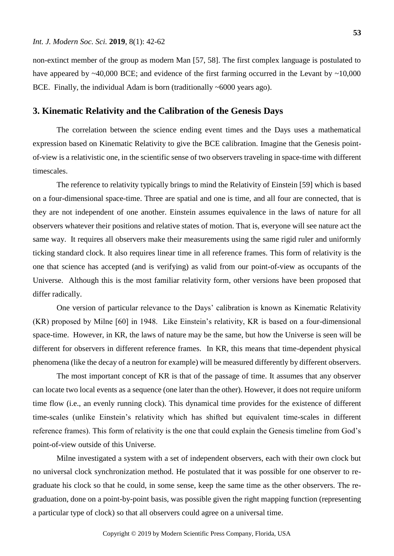non-extinct member of the group as modern Man [57, 58]. The first complex language is postulated to have appeared by  $\sim$ 40,000 BCE; and evidence of the first farming occurred in the Levant by  $\sim$ 10,000 BCE. Finally, the individual Adam is born (traditionally ~6000 years ago).

### **3. Kinematic Relativity and the Calibration of the Genesis Days**

The correlation between the science ending event times and the Days uses a mathematical expression based on Kinematic Relativity to give the BCE calibration. Imagine that the Genesis pointof-view is a relativistic one, in the scientific sense of two observers traveling in space-time with different timescales.

The reference to relativity typically brings to mind the Relativity of Einstein [59] which is based on a four-dimensional space-time. Three are spatial and one is time, and all four are connected, that is they are not independent of one another. Einstein assumes equivalence in the laws of nature for all observers whatever their positions and relative states of motion. That is, everyone will see nature act the same way. It requires all observers make their measurements using the same rigid ruler and uniformly ticking standard clock. It also requires linear time in all reference frames. This form of relativity is the one that science has accepted (and is verifying) as valid from our point-of-view as occupants of the Universe. Although this is the most familiar relativity form, other versions have been proposed that differ radically.

One version of particular relevance to the Days' calibration is known as Kinematic Relativity (KR) proposed by Milne [60] in 1948. Like Einstein's relativity, KR is based on a four-dimensional space-time. However, in KR, the laws of nature may be the same, but how the Universe is seen will be different for observers in different reference frames. In KR, this means that time-dependent physical phenomena (like the decay of a neutron for example) will be measured differently by different observers.

The most important concept of KR is that of the passage of time. It assumes that any observer can locate two local events as a sequence (one later than the other). However, it does not require uniform time flow (i.e., an evenly running clock). This dynamical time provides for the existence of different time-scales (unlike Einstein's relativity which has shifted but equivalent time-scales in different reference frames). This form of relativity is the one that could explain the Genesis timeline from God's point-of-view outside of this Universe.

Milne investigated a system with a set of independent observers, each with their own clock but no universal clock synchronization method. He postulated that it was possible for one observer to regraduate his clock so that he could, in some sense, keep the same time as the other observers. The regraduation, done on a point-by-point basis, was possible given the right mapping function (representing a particular type of clock) so that all observers could agree on a universal time.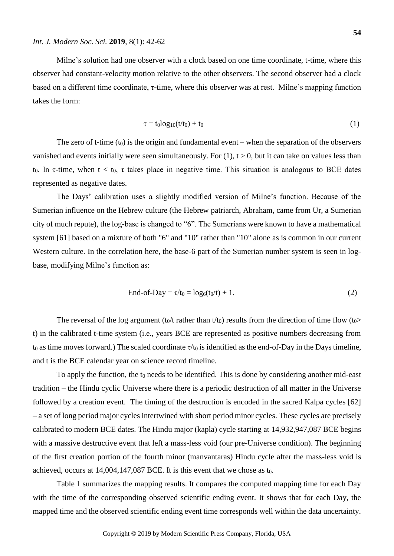takes the form:

Milne's solution had one observer with a clock based on one time coordinate, t-time, where this observer had constant-velocity motion relative to the other observers. The second observer had a clock based on a different time coordinate, τ-time, where this observer was at rest. Milne's mapping function

$$
\tau = t_0 \log_{10}(t/t_0) + t_0 \tag{1}
$$

The zero of t-time  $(t_0)$  is the origin and fundamental event – when the separation of the observers vanished and events initially were seen simultaneously. For  $(1)$ ,  $t > 0$ , but it can take on values less than t<sub>0</sub>. In  $\tau$ -time, when  $t < t_0$ ,  $\tau$  takes place in negative time. This situation is analogous to BCE dates represented as negative dates.

The Days' calibration uses a slightly modified version of Milne's function. Because of the Sumerian influence on the Hebrew culture (the Hebrew patriarch, Abraham, came from Ur, a Sumerian city of much repute), the log-base is changed to "6". The Sumerians were known to have a mathematical system [61] based on a mixture of both "6" and "10" rather than "10" alone as is common in our current Western culture. In the correlation here, the base-6 part of the Sumerian number system is seen in logbase, modifying Milne's function as:

$$
End-of-Day = \tau/t_0 = \log_6(t_0/t) + 1.
$$
 (2)

The reversal of the log argument (t<sub>0</sub>/t rather than t/t<sub>0</sub>) results from the direction of time flow (t<sub>0</sub>> t) in the calibrated t-time system (i.e., years BCE are represented as positive numbers decreasing from to as time moves forward.) The scaled coordinate  $\tau$ /to is identified as the end-of-Day in the Days timeline, and t is the BCE calendar year on science record timeline.

To apply the function, the  $t_0$  needs to be identified. This is done by considering another mid-east tradition – the Hindu cyclic Universe where there is a periodic destruction of all matter in the Universe followed by a creation event. The timing of the destruction is encoded in the sacred Kalpa cycles [62] – a set of long period major cycles intertwined with short period minor cycles. These cycles are precisely calibrated to modern BCE dates. The Hindu major (kapla) cycle starting at 14,932,947,087 BCE begins with a massive destructive event that left a mass-less void (our pre-Universe condition). The beginning of the first creation portion of the fourth minor (manvantaras) Hindu cycle after the mass-less void is achieved, occurs at 14,004,147,087 BCE. It is this event that we chose as t0.

Table 1 summarizes the mapping results. It compares the computed mapping time for each Day with the time of the corresponding observed scientific ending event. It shows that for each Day, the mapped time and the observed scientific ending event time corresponds well within the data uncertainty.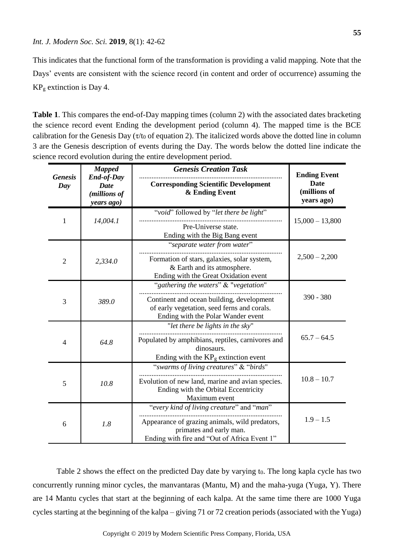This indicates that the functional form of the transformation is providing a valid mapping. Note that the Days' events are consistent with the science record (in content and order of occurrence) assuming the  $KP<sub>g</sub>$  extinction is Day 4.

**Table 1**. This compares the end-of-Day mapping times (column 2) with the associated dates bracketing the science record event Ending the development period (column 4). The mapped time is the BCE calibration for the Genesis Day ( $\tau$ /t<sub>0</sub> of equation 2). The italicized words above the dotted line in column 3 are the Genesis description of events during the Day. The words below the dotted line indicate the science record evolution during the entire development period.

| <b>Genesis</b><br>Day | <b>Mapped</b><br><b>End-of-Day</b><br>Date<br>(millions of<br>years ago) | <b>Genesis Creation Task</b>                                                                                                                                            | <b>Ending Event</b><br><b>Date</b><br>(millions of<br>years ago) |  |
|-----------------------|--------------------------------------------------------------------------|-------------------------------------------------------------------------------------------------------------------------------------------------------------------------|------------------------------------------------------------------|--|
|                       |                                                                          | <b>Corresponding Scientific Development</b><br>& Ending Event                                                                                                           |                                                                  |  |
| 1                     | 14,004.1                                                                 | "void" followed by "let there be light"<br>Pre-Universe state.<br>Ending with the Big Bang event                                                                        | $15,000 - 13,800$                                                |  |
| $\overline{2}$        | 2,334.0                                                                  | "separate water from water"<br>Formation of stars, galaxies, solar system,<br>& Earth and its atmosphere.<br>Ending with the Great Oxidation event                      | $2,500 - 2,200$                                                  |  |
| 3                     | 389.0                                                                    | "gathering the waters" & "vegetation"<br>Continent and ocean building, development<br>of early vegetation, seed ferns and corals.<br>Ending with the Polar Wander event | 390 - 380                                                        |  |
| $\overline{4}$        | 64.8                                                                     | "let there be lights in the sky"<br>Populated by amphibians, reptiles, carnivores and<br>dinosaurs.<br>Ending with the $\rm KP_g$ extinction event                      |                                                                  |  |
| 5                     | 10.8                                                                     | "swarms of living creatures" & "birds"<br>Evolution of new land, marine and avian species.<br>Ending with the Orbital Eccentricity<br>Maximum event                     | $10.8 - 10.7$                                                    |  |
| 6                     | 1.8                                                                      | "every kind of living creature" and "man"<br>Appearance of grazing animals, wild predators,<br>primates and early man.<br>Ending with fire and "Out of Africa Event 1"  | $1.9 - 1.5$                                                      |  |

Table 2 shows the effect on the predicted Day date by varying t<sub>0</sub>. The long kapla cycle has two concurrently running minor cycles, the manvantaras (Mantu, M) and the maha-yuga (Yuga, Y). There are 14 Mantu cycles that start at the beginning of each kalpa. At the same time there are 1000 Yuga cycles starting at the beginning of the kalpa – giving 71 or 72 creation periods (associated with the Yuga)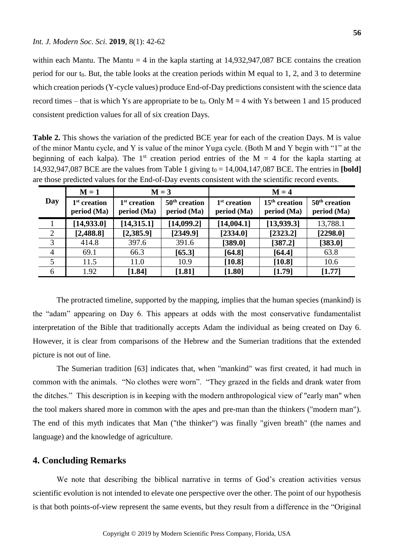within each Mantu. The Mantu = 4 in the kapla starting at  $14,932,947,087$  BCE contains the creation period for our  $t_0$ . But, the table looks at the creation periods within M equal to 1, 2, and 3 to determine which creation periods (Y-cycle values) produce End-of-Day predictions consistent with the science data record times – that is which Ys are appropriate to be t<sub>0</sub>. Only  $M = 4$  with Ys between 1 and 15 produced consistent prediction values for all of six creation Days.

**Table 2.** This shows the variation of the predicted BCE year for each of the creation Days. M is value of the minor Mantu cycle, and Y is value of the minor Yuga cycle. (Both M and Y begin with "1" at the beginning of each kalpa). The 1<sup>st</sup> creation period entries of the M = 4 for the kapla starting at 14,932,947,087 BCE are the values from Table 1 giving  $t_0 = 14,004,147,087$  BCE. The entries in [bold] are those predicted values for the End-of-Day events consistent with the scientific record events.

| Day            | $M = 1$                                 | $M = 3$                                 |                                | $M = 4$                       |                                |                                |
|----------------|-----------------------------------------|-----------------------------------------|--------------------------------|-------------------------------|--------------------------------|--------------------------------|
|                | 1 <sup>st</sup> creation<br>period (Ma) | 1 <sup>st</sup> creation<br>period (Ma) | $50th$ creation<br>period (Ma) | $1st$ creation<br>period (Ma) | $15th$ creation<br>period (Ma) | $50th$ creation<br>period (Ma) |
|                | [14, 933.0]                             | [14, 315.1]                             | [14,099.2]                     | [14,004.1]                    | [13, 939.3]                    | 13,788.1                       |
| 2              | [2,488.8]                               | [2,385.9]                               | [2349.9]                       | [2334.0]                      | [2323.2]                       | [2298.0]                       |
| 3              | 414.8                                   | 397.6                                   | 391.6                          | [389.0]                       | [387.2]                        | [383.0]                        |
| $\overline{4}$ | 69.1                                    | 66.3                                    | [65.3]                         | [64.8]                        | [64.4]                         | 63.8                           |
| 5              | 11.5                                    | 11.0                                    | 10.9                           | [10.8]                        | [10.8]                         | 10.6                           |
| 6              | 1.92                                    | [1.84]                                  | $[1.81]$                       | [1.80]                        | [1.79]                         | [1.77]                         |

The protracted timeline, supported by the mapping, implies that the human species (mankind) is the "adam" appearing on Day 6. This appears at odds with the most conservative fundamentalist interpretation of the Bible that traditionally accepts Adam the individual as being created on Day 6. However, it is clear from comparisons of the Hebrew and the Sumerian traditions that the extended picture is not out of line.

The Sumerian tradition [63] indicates that, when "mankind" was first created, it had much in common with the animals. "No clothes were worn". "They grazed in the fields and drank water from the ditches." This description is in keeping with the modern anthropological view of "early man" when the tool makers shared more in common with the apes and pre-man than the thinkers ("modern man"). The end of this myth indicates that Man ("the thinker") was finally "given breath" (the names and language) and the knowledge of agriculture.

## **4. Concluding Remarks**

We note that describing the biblical narrative in terms of God's creation activities versus scientific evolution is not intended to elevate one perspective over the other. The point of our hypothesis is that both points-of-view represent the same events, but they result from a difference in the "Original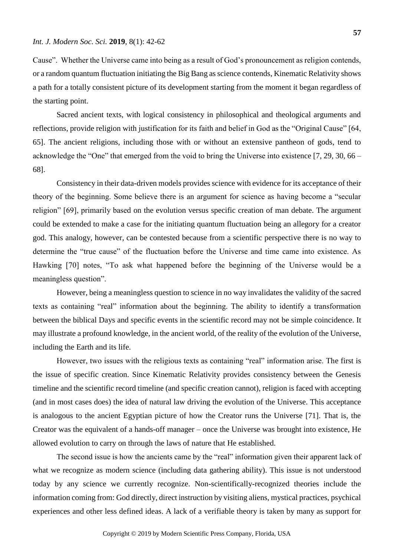Cause". Whether the Universe came into being as a result of God's pronouncement as religion contends, or a random quantum fluctuation initiating the Big Bang as science contends, Kinematic Relativity shows a path for a totally consistent picture of its development starting from the moment it began regardless of the starting point.

Sacred ancient texts, with logical consistency in philosophical and theological arguments and reflections, provide religion with justification for its faith and belief in God as the "Original Cause" [64, 65]. The ancient religions, including those with or without an extensive pantheon of gods, tend to acknowledge the "One" that emerged from the void to bring the Universe into existence [7, 29, 30, 66 – 68].

Consistency in their data-driven models provides science with evidence for its acceptance of their theory of the beginning. Some believe there is an argument for science as having become a "secular religion" [69], primarily based on the evolution versus specific creation of man debate. The argument could be extended to make a case for the initiating quantum fluctuation being an allegory for a creator god. This analogy, however, can be contested because from a scientific perspective there is no way to determine the "true cause" of the fluctuation before the Universe and time came into existence. As Hawking [70] notes, "To ask what happened before the beginning of the Universe would be a meaningless question".

However, being a meaningless question to science in no way invalidates the validity of the sacred texts as containing "real" information about the beginning. The ability to identify a transformation between the biblical Days and specific events in the scientific record may not be simple coincidence. It may illustrate a profound knowledge, in the ancient world, of the reality of the evolution of the Universe, including the Earth and its life.

However, two issues with the religious texts as containing "real" information arise. The first is the issue of specific creation. Since Kinematic Relativity provides consistency between the Genesis timeline and the scientific record timeline (and specific creation cannot), religion is faced with accepting (and in most cases does) the idea of natural law driving the evolution of the Universe. This acceptance is analogous to the ancient Egyptian picture of how the Creator runs the Universe [71]. That is, the Creator was the equivalent of a hands-off manager – once the Universe was brought into existence, He allowed evolution to carry on through the laws of nature that He established.

The second issue is how the ancients came by the "real" information given their apparent lack of what we recognize as modern science (including data gathering ability). This issue is not understood today by any science we currently recognize. Non-scientifically-recognized theories include the information coming from: God directly, direct instruction by visiting aliens, mystical practices, psychical experiences and other less defined ideas. A lack of a verifiable theory is taken by many as support for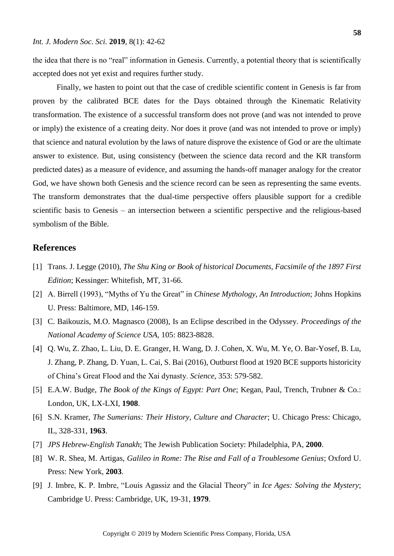the idea that there is no "real" information in Genesis. Currently, a potential theory that is scientifically accepted does not yet exist and requires further study.

Finally, we hasten to point out that the case of credible scientific content in Genesis is far from proven by the calibrated BCE dates for the Days obtained through the Kinematic Relativity transformation. The existence of a successful transform does not prove (and was not intended to prove or imply) the existence of a creating deity. Nor does it prove (and was not intended to prove or imply) that science and natural evolution by the laws of nature disprove the existence of God or are the ultimate answer to existence. But, using consistency (between the science data record and the KR transform predicted dates) as a measure of evidence, and assuming the hands-off manager analogy for the creator God, we have shown both Genesis and the science record can be seen as representing the same events. The transform demonstrates that the dual-time perspective offers plausible support for a credible scientific basis to Genesis – an intersection between a scientific perspective and the religious-based symbolism of the Bible.

# **References**

- [1] Trans. J. Legge (2010), *The Shu King or Book of historical Documents, Facsimile of the 1897 First Edition*; Kessinger: Whitefish, MT, 31-66.
- [2] A. Birrell (1993), "Myths of Yu the Great" in *Chinese Mythology, An Introduction*; Johns Hopkins U. Press: Baltimore, MD, 146-159.
- [3] C. Baikouzis, M.O. Magnasco (2008), Is an Eclipse described in the Odyssey. *Proceedings of the National Academy of Science USA*, 105: 8823-8828.
- [4] Q. Wu, Z. Zhao, L. Liu, D. E. Granger, H. Wang, D. J. Cohen, X. Wu, M. Ye, O. Bar-Yosef, B. Lu, J. Zhang, P. Zhang, D. Yuan, L. Cai, S. Bai (2016), Outburst flood at 1920 BCE supports historicity of China's Great Flood and the Xai dynasty. *Science*, 353: 579-582.
- [5] E.A.W. Budge, *The Book of the Kings of Egypt: Part One*; Kegan, Paul, Trench, Trubner & Co.: London, UK, LX-LXI, **1908**.
- [6] S.N. Kramer, *The Sumerians: Their History, Culture and Character*; U. Chicago Press: Chicago, IL, 328-331, **1963**.
- [7] *JPS Hebrew-English Tanakh*; The Jewish Publication Society: Philadelphia, PA, **2000**.
- [8] W. R. Shea, M. Artigas, *Galileo in Rome: The Rise and Fall of a Troublesome Genius*; Oxford U. Press: New York, **2003**.
- [9] J. Imbre, K. P. Imbre, "Louis Agassiz and the Glacial Theory" in *Ice Ages: Solving the Mystery*; Cambridge U. Press: Cambridge, UK, 19-31, **1979**.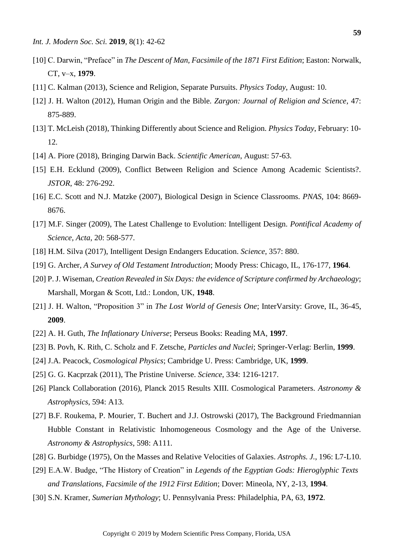- [10] C. Darwin, "Preface" in *The Descent of Man, Facsimile of the 1871 First Edition*; Easton: Norwalk, CT, v–x, **1979**.
- [11] C. Kalman (2013), Science and Religion, Separate Pursuits. *Physics Today*, August: 10.
- [12] J. H. Walton (2012), Human Origin and the Bible. *Zargon: Journal of Religion and Science*, 47: 875-889.
- [13] T. McLeish (2018), Thinking Differently about Science and Religion. *Physics Today*, February: 10- 12.
- [14] A. Piore (2018), Bringing Darwin Back. *Scientific American*, August: 57-63.
- [15] E.H. Ecklund (2009), Conflict Between Religion and Science Among Academic Scientists?. *JSTOR*, 48: 276-292.
- [16] E.C. Scott and N.J. Matzke (2007), Biological Design in Science Classrooms. *PNAS*, 104: 8669- 8676.
- [17] M.F. Singer (2009), The Latest Challenge to Evolution: Intelligent Design. *Pontifical Academy of Science, Acta*, 20: 568-577.
- [18] H.M. Silva (2017), Intelligent Design Endangers Education. *Science*, 357: 880.
- [19] G. Archer, *A Survey of Old Testament Introduction*; Moody Press: Chicago, IL, 176-177, **1964**.
- [20] P. J. Wiseman, *Creation Revealed in Six Days: the evidence of Scripture confirmed by Archaeology*; Marshall, Morgan & Scott, Ltd.: London, UK, **1948**.
- [21] J. H. Walton, "Proposition 3" in *The Lost World of Genesis One*; InterVarsity: Grove, IL, 36-45, **2009**.
- [22] A. H. Guth, *The Inflationary Universe*; Perseus Books: Reading MA, **1997**.
- [23] B. Povh, K. Rith, C. Scholz and F. Zetsche, *Particles and Nuclei*; Springer-Verlag: Berlin, **1999**.
- [24] J.A. Peacock, *Cosmological Physics*; Cambridge U. Press: Cambridge, UK, **1999**.
- [25] G. G. Kacprzak (2011), The Pristine Universe. *Science*, 334: 1216-1217.
- [26] Planck Collaboration (2016), Planck 2015 Results XIII. Cosmological Parameters. *Astronomy & Astrophysics*, 594: A13.
- [27] B.F. Roukema, P. Mourier, T. Buchert and J.J. Ostrowski (2017), The Background Friedmannian Hubble Constant in Relativistic Inhomogeneous Cosmology and the Age of the Universe. *Astronomy & Astrophysics*, 598: A111.
- [28] G. Burbidge (1975), On the Masses and Relative Velocities of Galaxies. *Astrophs. J.*, 196: L7-L10.
- [29] E.A.W. Budge, "The History of Creation" in *Legends of the Egyptian Gods: Hieroglyphic Texts and Translations, Facsimile of the 1912 First Edition*; Dover: Mineola, NY, 2-13, **1994**.
- [30] S.N. Kramer, *Sumerian Mythology*; U. Pennsylvania Press: Philadelphia, PA, 63, **1972**.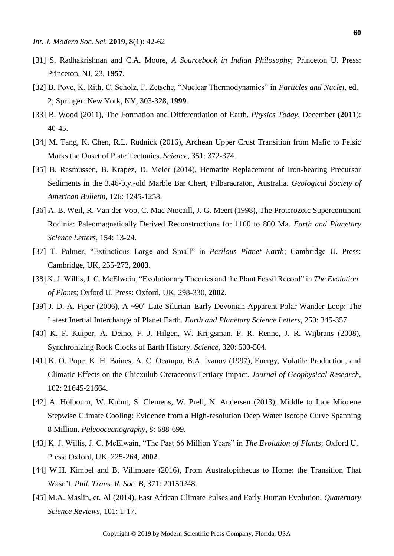- [31] S. Radhakrishnan and C.A. Moore, *A Sourcebook in Indian Philosophy*; Princeton U. Press: Princeton, NJ, 23, **1957**.
- [32] B. Pove, K. Rith, C. Scholz, F. Zetsche, "Nuclear Thermodynamics" in *Particles and Nuclei,* ed. 2; Springer: New York, NY, 303-328, **1999**.
- [33] B. Wood (2011), The Formation and Differentiation of Earth. *Physics Today*, December (**2011**): 40-45.
- [34] M. Tang, K. Chen, R.L. Rudnick (2016), Archean Upper Crust Transition from Mafic to Felsic Marks the Onset of Plate Tectonics. *Science*, 351: 372-374.
- [35] B. Rasmussen, B. Krapez, D. Meier (2014), Hematite Replacement of Iron-bearing Precursor Sediments in the 3.46-b.y.-old Marble Bar Chert, Pilbaracraton, Australia. *Geological Society of American Bulletin*, 126: 1245-1258.
- [36] A. B. Weil, R. Van der Voo, C. Mac Niocaill, J. G. Meert (1998), The Proterozoic Supercontinent Rodinia: Paleomagnetically Derived Reconstructions for 1100 to 800 Ma. *Earth and Planetary Science Letters*, 154: 13-24.
- [37] T. Palmer, "Extinctions Large and Small" in *Perilous Planet Earth*; Cambridge U. Press: Cambridge, UK, 255-273, **2003**.
- [38] K. J. Willis, J. C. McElwain, "Evolutionary Theories and the Plant Fossil Record" in *The Evolution of Plants*; Oxford U. Press: Oxford, UK, 298-330, **2002**.
- [39] J. D. A. Piper (2006), A ~90<sup>o</sup> Late Silurian–Early Devonian Apparent Polar Wander Loop: The Latest Inertial Interchange of Planet Earth. *Earth and Planetary Science Letters*, 250: 345-357.
- [40] K. F. Kuiper, A. Deino, F. J. Hilgen, W. Krijgsman, P. R. Renne, J. R. Wijbrans (2008), Synchronizing Rock Clocks of Earth History. *Science*, 320: 500-504.
- [41] K. O. Pope, K. H. Baines, A. C. Ocampo, B.A. Ivanov (1997), Energy, Volatile Production, and Climatic Effects on the Chicxulub Cretaceous/Tertiary Impact. *Journal of Geophysical Research*, 102: 21645-21664.
- [42] A. Holbourn, W. Kuhnt, S. Clemens, W. Prell, N. Andersen (2013), Middle to Late Miocene Stepwise Climate Cooling: Evidence from a High-resolution Deep Water Isotope Curve Spanning 8 Million. *Paleooceanography*, 8: 688-699.
- [43] K. J. Willis, J. C. McElwain, "The Past 66 Million Years" in *The Evolution of Plants*; Oxford U. Press: Oxford, UK, 225-264, **2002**.
- [44] W.H. Kimbel and B. Villmoare (2016), From Australopithecus to Home: the Transition That Wasn't. *Phil. Trans. R. Soc. B*, 371: 20150248.
- [45] M.A. Maslin, et. Al (2014), East African Climate Pulses and Early Human Evolution. *Quaternary Science Reviews*, 101: 1-17.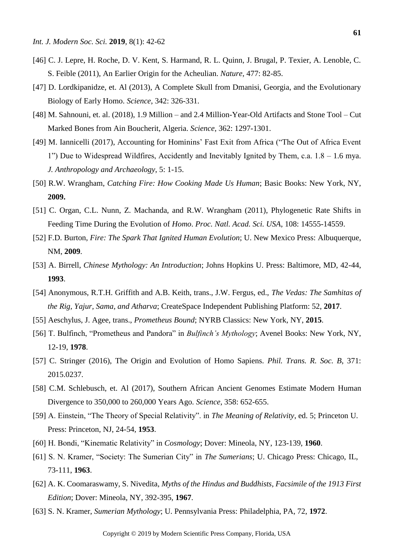- [46] C. J. Lepre, H. Roche, D. V. Kent, S. Harmand, R. L. Quinn, J. Brugal, P. Texier, A. Lenoble, C. S. Feible (2011), An Earlier Origin for the Acheulian. *Nature*, 477: 82-85.
- [47] D. Lordkipanidze, et. Al (2013), A Complete Skull from Dmanisi, Georgia, and the Evolutionary Biology of Early Homo. *Science*, 342: 326-331.
- [48] M. Sahnouni, et. al. (2018), 1.9 Million and 2.4 Million-Year-Old Artifacts and Stone Tool Cut Marked Bones from Ain Boucherit, Algeria. *Science*, 362: 1297-1301.
- [49] M. Iannicelli (2017), Accounting for Hominins' Fast Exit from Africa ("The Out of Africa Event 1") Due to Widespread Wildfires, Accidently and Inevitably Ignited by Them, c.a. 1.8 – 1.6 mya. *J. Anthropology and Archaeology*, 5: 1-15.
- [50] R.W. Wrangham, *Catching Fire: How Cooking Made Us Human*; Basic Books: New York, NY, **2009.**
- [51] C. Organ, C.L. Nunn, Z. Machanda, and R.W. Wrangham (2011), Phylogenetic Rate Shifts in Feeding Time During the Evolution of *Homo*. *Proc. Natl. Acad. Sci. USA*, 108: 14555-14559.
- [52] F.D. Burton, *Fire: The Spark That Ignited Human Evolution*; U. New Mexico Press: Albuquerque, NM, **2009**.
- [53] A. Birrell, *Chinese Mythology: An Introduction*; Johns Hopkins U. Press: Baltimore, MD, 42-44, **1993**.
- [54] Anonymous, R.T.H. Griffith and A.B. Keith, trans., J.W. Fergus, ed., *The Vedas: The Samhitas of the Rig, Yajur, Sama, and Atharva*; CreateSpace Independent Publishing Platform: 52, **2017**.
- [55] Aeschylus, J. Agee, trans., *Prometheus Bound*; NYRB Classics: New York, NY, **2015**.
- [56] T. Bulfinch, "Prometheus and Pandora" in *Bulfinch's Mythology*; Avenel Books: New York, NY, 12-19, **1978**.
- [57] C. Stringer (2016), The Origin and Evolution of Homo Sapiens. *Phil. Trans. R. Soc. B*, 371: 2015.0237.
- [58] C.M. Schlebusch, et. Al (2017), Southern African Ancient Genomes Estimate Modern Human Divergence to 350,000 to 260,000 Years Ago. *Science*, 358: 652-655.
- [59] A. Einstein, "The Theory of Special Relativity". in *The Meaning of Relativity*, ed. 5; Princeton U. Press: Princeton, NJ, 24-54, **1953**.
- [60] H. Bondi, "Kinematic Relativity" in *Cosmology*; Dover: Mineola, NY, 123-139, **1960**.
- [61] S. N. Kramer, "Society: The Sumerian City" in *The Sumerians*; U. Chicago Press: Chicago, IL, 73-111, **1963**.
- [62] A. K. Coomaraswamy, S. Nivedita, *Myths of the Hindus and Buddhists, Facsimile of the 1913 First Edition*; Dover: Mineola, NY, 392-395, **1967**.
- [63] S. N. Kramer, *Sumerian Mythology*; U. Pennsylvania Press: Philadelphia, PA, 72, **1972**.